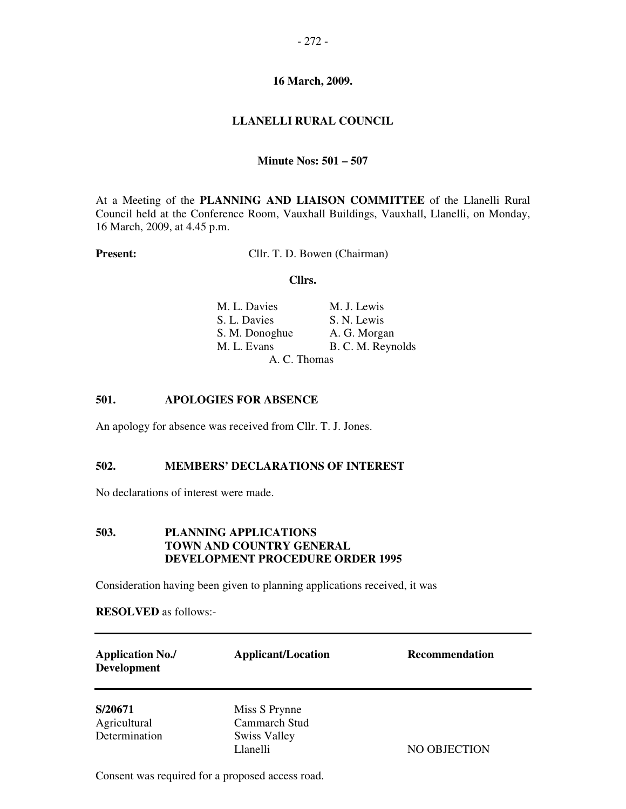## **16 March, 2009.**

# **LLANELLI RURAL COUNCIL**

## **Minute Nos: 501 – 507**

At a Meeting of the **PLANNING AND LIAISON COMMITTEE** of the Llanelli Rural Council held at the Conference Room, Vauxhall Buildings, Vauxhall, Llanelli, on Monday, 16 March, 2009, at 4.45 p.m.

**Present:** Cllr. T. D. Bowen (Chairman)

#### **Cllrs.**

| M. L. Davies   | M. J. Lewis       |
|----------------|-------------------|
| S. L. Davies   | S. N. Lewis       |
| S. M. Donoghue | A. G. Morgan      |
| M. L. Evans    | B. C. M. Reynolds |
| A. C. Thomas   |                   |

#### **501. APOLOGIES FOR ABSENCE**

An apology for absence was received from Cllr. T. J. Jones.

#### **502. MEMBERS' DECLARATIONS OF INTEREST**

No declarations of interest were made.

## **503. PLANNING APPLICATIONS TOWN AND COUNTRY GENERAL DEVELOPMENT PROCEDURE ORDER 1995**

Consideration having been given to planning applications received, it was

## **RESOLVED** as follows:-

| <b>Application No./</b><br><b>Development</b> | <b>Applicant/Location</b>       | <b>Recommendation</b> |
|-----------------------------------------------|---------------------------------|-----------------------|
| S/20671<br>Agricultural                       | Miss S Prynne<br>Cammarch Stud  |                       |
| Determination                                 | <b>Swiss Valley</b><br>Llanelli | NO OBJECTION          |

Consent was required for a proposed access road.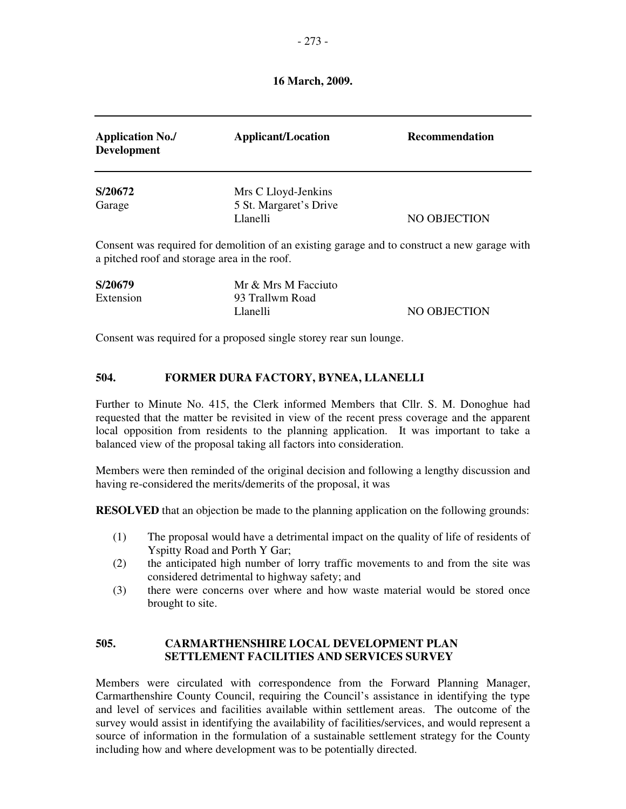**16 March, 2009.** 

| <b>Application No./</b><br><b>Development</b> | <b>Applicant/Location</b>                                                                    | <b>Recommendation</b> |
|-----------------------------------------------|----------------------------------------------------------------------------------------------|-----------------------|
| S/20672<br>Garage                             | Mrs C Lloyd-Jenkins<br>5 St. Margaret's Drive<br>Llanelli                                    | NO OBJECTION          |
| a pitched roof and storage area in the roof.  | Consent was required for demolition of an existing garage and to construct a new garage with |                       |
| S/20679<br>Extension                          | Mr & Mrs M Facciuto<br>93 Trallwm Road<br>Llanelli                                           | NO OBJECTION          |

Consent was required for a proposed single storey rear sun lounge.

## **504. FORMER DURA FACTORY, BYNEA, LLANELLI**

Further to Minute No. 415, the Clerk informed Members that Cllr. S. M. Donoghue had requested that the matter be revisited in view of the recent press coverage and the apparent local opposition from residents to the planning application. It was important to take a balanced view of the proposal taking all factors into consideration.

Members were then reminded of the original decision and following a lengthy discussion and having re-considered the merits/demerits of the proposal, it was

**RESOLVED** that an objection be made to the planning application on the following grounds:

- (1) The proposal would have a detrimental impact on the quality of life of residents of Yspitty Road and Porth Y Gar;
- (2) the anticipated high number of lorry traffic movements to and from the site was considered detrimental to highway safety; and
- (3) there were concerns over where and how waste material would be stored once brought to site.

## **505. CARMARTHENSHIRE LOCAL DEVELOPMENT PLAN SETTLEMENT FACILITIES AND SERVICES SURVEY**

Members were circulated with correspondence from the Forward Planning Manager, Carmarthenshire County Council, requiring the Council's assistance in identifying the type and level of services and facilities available within settlement areas. The outcome of the survey would assist in identifying the availability of facilities/services, and would represent a source of information in the formulation of a sustainable settlement strategy for the County including how and where development was to be potentially directed.